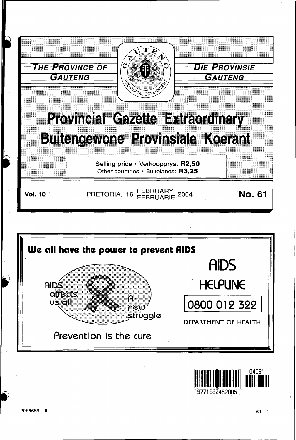



 $61 - 1$ 

9771682452005